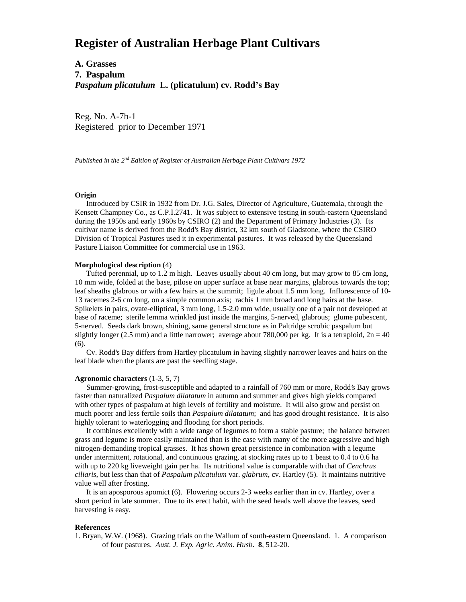# **Register of Australian Herbage Plant Cultivars**

**A. Grasses 7. Paspalum** *Paspalum plicatulum* **L. (plicatulum) cv. Rodd's Bay**

Reg. No. A-7b-1 Registered prior to December 1971

*Published in the 2nd Edition of Register of Australian Herbage Plant Cultivars 1972*

## **Origin**

 Introduced by CSIR in 1932 from Dr. J.G. Sales, Director of Agriculture, Guatemala, through the Kensett Champney Co., as C.P.I.2741. It was subject to extensive testing in south-eastern Queensland during the 1950s and early 1960s by CSIRO (2) and the Department of Primary Industries (3). Its cultivar name is derived from the Rodd's Bay district, 32 km south of Gladstone, where the CSIRO Division of Tropical Pastures used it in experimental pastures. It was released by the Queensland Pasture Liaison Committee for commercial use in 1963.

## **Morphological description** (4)

 Tufted perennial, up to 1.2 m high. Leaves usually about 40 cm long, but may grow to 85 cm long, 10 mm wide, folded at the base, pilose on upper surface at base near margins, glabrous towards the top; leaf sheaths glabrous or with a few hairs at the summit; ligule about 1.5 mm long. Inflorescence of 10- 13 racemes 2-6 cm long, on a simple common axis; rachis 1 mm broad and long hairs at the base. Spikelets in pairs, ovate-elliptical, 3 mm long, 1.5-2.0 mm wide, usually one of a pair not developed at base of raceme; sterile lemma wrinkled just inside the margins, 5-nerved, glabrous; glume pubescent, 5-nerved. Seeds dark brown, shining, same general structure as in Paltridge scrobic paspalum but slightly longer (2.5 mm) and a little narrower; average about 780,000 per kg. It is a tetraploid,  $2n = 40$ (6).

 Cv. Rodd's Bay differs from Hartley plicatulum in having slightly narrower leaves and hairs on the leaf blade when the plants are past the seedling stage.

#### **Agronomic characters** (1-3, 5, 7)

 Summer-growing, frost-susceptible and adapted to a rainfall of 760 mm or more, Rodd's Bay grows faster than naturalized *Paspalum dilatatum* in autumn and summer and gives high yields compared with other types of paspalum at high levels of fertility and moisture. It will also grow and persist on much poorer and less fertile soils than *Paspalum dilatatum*; and has good drought resistance. It is also highly tolerant to waterlogging and flooding for short periods.

 It combines excellently with a wide range of legumes to form a stable pasture; the balance between grass and legume is more easily maintained than is the case with many of the more aggressive and high nitrogen-demanding tropical grasses. It has shown great persistence in combination with a legume under intermittent, rotational, and continuous grazing, at stocking rates up to 1 beast to 0.4 to 0.6 ha with up to 220 kg liveweight gain per ha. Its nutritional value is comparable with that of *Cenchrus ciliaris*, but less than that of *Paspalum plicatulum* var. *glabrum*, cv. Hartley (5). It maintains nutritive value well after frosting.

 It is an aposporous apomict (6). Flowering occurs 2-3 weeks earlier than in cv. Hartley, over a short period in late summer. Due to its erect habit, with the seed heads well above the leaves, seed harvesting is easy.

### **References**

1. Bryan, W.W. (1968). Grazing trials on the Wallum of south-eastern Queensland. 1. A comparison of four pastures. *Aust. J. Exp. Agric. Anim. Husb*. **8**, 512-20.